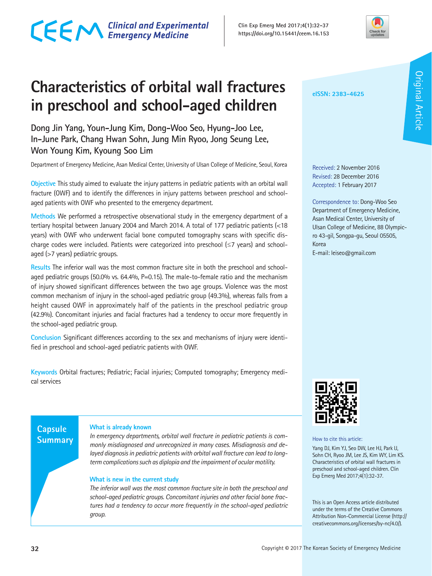#### **32 Copyright ©** 2017 The Korean Society of Emergency Medicine

# CECM Clinical and Experimental

**Clin Exp Emerg Med 2017;4(1):32-37 https://doi.org/10.15441/ceem.16.153**

# **Characteristics of orbital wall fractures in preschool and school-aged children**

**Dong Jin Yang, Youn-Jung Kim, Dong-Woo Seo, Hyung-Joo Lee, In-June Park, Chang Hwan Sohn, Jung Min Ryoo, Jong Seung Lee, Won Young Kim, Kyoung Soo Lim**

Department of Emergency Medicine, Asan Medical Center, University of Ulsan College of Medicine, Seoul, Korea

**Objective** This study aimed to evaluate the injury patterns in pediatric patients with an orbital wall fracture (OWF) and to identify the differences in injury patterns between preschool and schoolaged patients with OWF who presented to the emergency department.

**Methods** We performed a retrospective observational study in the emergency department of a tertiary hospital between January 2004 and March 2014. A total of 177 pediatric patients (<18 years) with OWF who underwent facial bone computed tomography scans with specific discharge codes were included. Patients were categorized into preschool (≤7 years) and schoolaged (>7 years) pediatric groups.

**Results** The inferior wall was the most common fracture site in both the preschool and schoolaged pediatric groups (50.0% vs. 64.4%, P=0.15). The male-to-female ratio and the mechanism of injury showed significant differences between the two age groups. Violence was the most common mechanism of injury in the school-aged pediatric group (49.3%), whereas falls from a height caused OWF in approximately half of the patients in the preschool pediatric group (42.9%). Concomitant injuries and facial fractures had a tendency to occur more frequently in the school-aged pediatric group.

**Conclusion** Significant differences according to the sex and mechanisms of injury were identified in preschool and school-aged pediatric patients with OWF.

**Keywords** Orbital fractures; Pediatric; Facial injuries; Computed tomography; Emergency medical services

### **Capsule Summary**

#### **What is already known**

*In emergency departments, orbital wall fracture in pediatric patients is commonly misdiagnosed and unrecognized in many cases. Misdiagnosis and delayed diagnosis in pediatric patients with orbital wall fracture can lead to longterm complications such as diplopia and the impairment of ocular motility.*

#### **What is new in the current study**

*The inferior wall was the most common fracture site in both the preschool and school-aged pediatric groups. Concomitant injuries and other facial bone fractures had a tendency to occur more frequently in the school-aged pediatric group.*



**eISSN: 2383-4625**

Received: 2 November 2016 Revised: 28 December 2016 Accepted: 1 February 2017

E-mail: leiseo@gmail.com

Korea

Correspondence to: Dong-Woo Seo Department of Emergency Medicine, Asan Medical Center, University of Ulsan College of Medicine, 88 Olympicro 43-gil, Songpa-gu, Seoul 05505,

How to cite this article:

Yang DJ, Kim YJ, Seo DW, Lee HJ, Park IJ, Sohn CH, Ryoo JM, Lee JS, Kim WY, Lim KS. Characteristics of orbital wall fractures in preschool and school-aged children. Clin Exp Emerg Med 2017;4(1):32-37.

This is an Open Access article distributed under the terms of the Creative Commons Attribution Non-Commercial License (http:// creativecommons.org/licenses/by-nc/4.0/).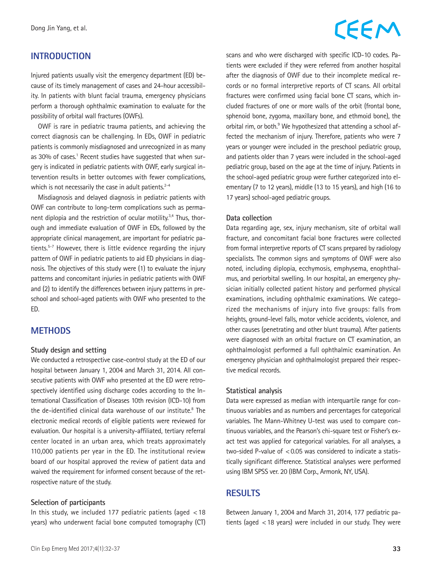# CEEM

# **INTRODUCTION**

Injured patients usually visit the emergency department (ED) because of its timely management of cases and 24-hour accessibility. In patients with blunt facial trauma, emergency physicians perform a thorough ophthalmic examination to evaluate for the possibility of orbital wall fractures (OWFs).

OWF is rare in pediatric trauma patients, and achieving the correct diagnosis can be challenging. In EDs, OWF in pediatric patients is commonly misdiagnosed and unrecognized in as many as 30% of cases.<sup>1</sup> Recent studies have suggested that when surgery is indicated in pediatric patients with OWF, early surgical intervention results in better outcomes with fewer complications, which is not necessarily the case in adult patients.<sup>2-4</sup>

Misdiagnosis and delayed diagnosis in pediatric patients with OWF can contribute to long-term complications such as permanent diplopia and the restriction of ocular motility.<sup>3,4</sup> Thus, thorough and immediate evaluation of OWF in EDs, followed by the appropriate clinical management, are important for pediatric patients.5-7 However, there is little evidence regarding the injury pattern of OWF in pediatric patients to aid ED physicians in diagnosis. The objectives of this study were (1) to evaluate the injury patterns and concomitant injuries in pediatric patients with OWF and (2) to identify the differences between injury patterns in preschool and school-aged patients with OWF who presented to the ED.

### **METHODS**

#### **Study design and setting**

We conducted a retrospective case-control study at the ED of our hospital between January 1, 2004 and March 31, 2014. All consecutive patients with OWF who presented at the ED were retrospectively identified using discharge codes according to the International Classification of Diseases 10th revision (ICD-10) from the de-identified clinical data warehouse of our institute.<sup>8</sup> The electronic medical records of eligible patients were reviewed for evaluation. Our hospital is a university-affiliated, tertiary referral center located in an urban area, which treats approximately 110,000 patients per year in the ED. The institutional review board of our hospital approved the review of patient data and waived the requirement for informed consent because of the retrospective nature of the study.

#### **Selection of participants**

In this study, we included 177 pediatric patients (aged  $<$  18 years) who underwent facial bone computed tomography (CT) scans and who were discharged with specific ICD-10 codes. Patients were excluded if they were referred from another hospital after the diagnosis of OWF due to their incomplete medical records or no formal interpretive reports of CT scans. All orbital fractures were confirmed using facial bone CT scans, which included fractures of one or more walls of the orbit (frontal bone, sphenoid bone, zygoma, maxillary bone, and ethmoid bone), the orbital rim, or both.<sup>9</sup> We hypothesized that attending a school affected the mechanism of injury. Therefore, patients who were 7 years or younger were included in the preschool pediatric group, and patients older than 7 years were included in the school-aged pediatric group, based on the age at the time of injury. Patients in the school-aged pediatric group were further categorized into elementary (7 to 12 years), middle (13 to 15 years), and high (16 to 17 years) school-aged pediatric groups.

#### **Data collection**

Data regarding age, sex, injury mechanism, site of orbital wall fracture, and concomitant facial bone fractures were collected from formal interpretive reports of CT scans prepared by radiology specialists. The common signs and symptoms of OWF were also noted, including diplopia, ecchymosis, emphysema, enophthalmus, and periorbital swelling. In our hospital, an emergency physician initially collected patient history and performed physical examinations, including ophthalmic examinations. We categorized the mechanisms of injury into five groups: falls from heights, ground-level falls, motor vehicle accidents, violence, and other causes (penetrating and other blunt trauma). After patients were diagnosed with an orbital fracture on CT examination, an ophthalmologist performed a full ophthalmic examination. An emergency physician and ophthalmologist prepared their respective medical records.

#### **Statistical analysis**

Data were expressed as median with interquartile range for continuous variables and as numbers and percentages for categorical variables. The Mann-Whitney U-test was used to compare continuous variables, and the Pearson's chi-square test or Fisher's exact test was applied for categorical variables. For all analyses, a two-sided P-value of  $< 0.05$  was considered to indicate a statistically significant difference. Statistical analyses were performed using IBM SPSS ver. 20 (IBM Corp., Armonk, NY, USA).

### **RESULTS**

Between January 1, 2004 and March 31, 2014, 177 pediatric patients (aged <18 years) were included in our study. They were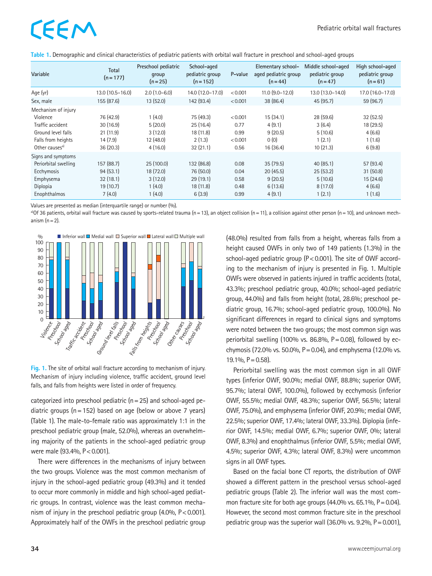# EEM

| Variable                   | <b>Total</b><br>$(n = 177)$ | Preschool pediatric<br>group<br>$(n=25)$ | School-aged<br>pediatric group<br>$(n = 152)$ | P-value | Elementary school-<br>aged pediatric group<br>$(n = 44)$ | Middle school-aged<br>pediatric group<br>$(n=47)$ | High school-aged<br>pediatric group<br>$(n=61)$ |
|----------------------------|-----------------------------|------------------------------------------|-----------------------------------------------|---------|----------------------------------------------------------|---------------------------------------------------|-------------------------------------------------|
| Age (yr)                   | 13.0 (10.5-16.0)            | $2.0(1.0-6.0)$                           | 14.0 (12.0-17.0)                              | < 0.001 | $11.0$ $(9.0 - 12.0)$                                    | 13.0 (13.0-14.0)                                  | 17.0 (16.0-17.0)                                |
| Sex, male                  | 155 (87.6)                  | 13(52.0)                                 | 142 (93.4)                                    | < 0.001 | 38 (86.4)                                                | 45 (95.7)                                         | 59 (96.7)                                       |
| Mechanism of injury        |                             |                                          |                                               |         |                                                          |                                                   |                                                 |
| Violence                   | 76 (42.9)                   | 1(4.0)                                   | 75 (49.3)                                     | < 0.001 | 15 (34.1)                                                | 28 (59.6)                                         | 32(52.5)                                        |
| Traffic accident           | 30(16.9)                    | 5(20.0)                                  | 25(16.4)                                      | 0.77    | 4(9.1)                                                   | 3(6.4)                                            | 18 (29.5)                                       |
| Ground level falls         | 21(11.9)                    | 3(12.0)                                  | 18(11.8)                                      | 0.99    | 9(20.5)                                                  | 5(10.6)                                           | 4(6.6)                                          |
| Falls from heights         | 14(7.9)                     | 12(48.0)                                 | 2(1.3)                                        | < 0.001 | 0(0)                                                     | 1(2.1)                                            | 1(1.6)                                          |
| Other causes <sup>a)</sup> | 36(20.3)                    | 4(16.0)                                  | 32(21.1)                                      | 0.56    | 16 (36.4)                                                | 10(21.3)                                          | 6(9.8)                                          |
| Signs and symptoms         |                             |                                          |                                               |         |                                                          |                                                   |                                                 |
| Periorbital swelling       | 157 (88.7)                  | 25(100.0)                                | 132 (86.8)                                    | 0.08    | 35(79.5)                                                 | 40(85.1)                                          | 57 (93.4)                                       |
| Ecchymosis                 | 94(53.1)                    | 18 (72.0)                                | 76 (50.0)                                     | 0.04    | 20(45.5)                                                 | 25(53.2)                                          | 31(50.8)                                        |
| Emphysema                  | 32(18.1)                    | 3(12.0)                                  | 29(19.1)                                      | 0.58    | 9(20.5)                                                  | 5(10.6)                                           | 15(24.6)                                        |
| Diplopia                   | 19 (10.7)                   | 1(4.0)                                   | 18(11.8)                                      | 0.48    | 6(13.6)                                                  | 8(17.0)                                           | 4(6.6)                                          |
| Enophthalmos               | 7(4.0)                      | 1(4.0)                                   | 6(3.9)                                        | 0.99    | 4(9.1)                                                   | 1(2.1)                                            | 1(1.6)                                          |

**Table 1.** Demographic and clinical characteristics of pediatric patients with orbital wall fracture in preschool and school-aged groups

Values are presented as median (interquartile range) or number (%).<br><sup>a)</sup>Of 36 patients, orbital wall fracture was caused by sports-related trauma (n = 13), an object collision (n = 11), a collision against other person (n anism  $(n=2)$ .



**Fig. 1.** The site of orbital wall fracture according to mechanism of injury. Mechanism of injury including violence, traffic accident, ground level falls, and falls from heights were listed in order of frequency.

categorized into preschool pediatric ( $n=25$ ) and school-aged pediatric groups ( $n=152$ ) based on age (below or above 7 years) (Table 1). The male-to-female ratio was approximately 1:1 in the preschool pediatric group (male, 52.0%), whereas an overwhelming majority of the patients in the school-aged pediatric group were male (93.4%,  $P < 0.001$ ).

There were differences in the mechanisms of injury between the two groups. Violence was the most common mechanism of injury in the school-aged pediatric group (49.3%) and it tended to occur more commonly in middle and high school-aged pediatric groups. In contrast, violence was the least common mechanism of injury in the preschool pediatric group  $(4.0\%$ ,  $P < 0.001$ ). Approximately half of the OWFs in the preschool pediatric group

(48.0%) resulted from falls from a height, whereas falls from a height caused OWFs in only two of 149 patients (1.3%) in the school-aged pediatric group ( $P < 0.001$ ). The site of OWF according to the mechanism of injury is presented in Fig. 1. Multiple OWFs were observed in patients injured in traffic accidents (total, 43.3%; preschool pediatric group, 40.0%; school-aged pediatric group, 44.0%) and falls from height (total, 28.6%; preschool pediatric group, 16.7%; school-aged pediatric group, 100.0%). No significant differences in regard to clinical signs and symptoms were noted between the two groups; the most common sign was periorbital swelling (100% vs. 86.8%,  $P = 0.08$ ), followed by ecchymosis (72.0% vs. 50.0%,  $P = 0.04$ ), and emphysema (12.0% vs.  $19.1\%$ ,  $P = 0.58$ ).

Periorbital swelling was the most common sign in all OWF types (inferior OWF, 90.0%; medial OWF, 88.8%; superior OWF, 95.7%; lateral OWF, 100.0%), followed by ecchymosis (inferior OWF, 55.5%; medial OWF, 48.3%; superior OWF, 56.5%; lateral OWF, 75.0%), and emphysema (inferior OWF, 20.9%; medial OWF, 22.5%; superior OWF, 17.4%; lateral OWF, 33.3%). Diplopia (inferior OWF, 14.5%; medial OWF, 6.7%; superior OWF, 0%; lateral OWF, 8.3%) and enophthalmus (inferior OWF, 5.5%; medial OWF, 4.5%; superior OWF, 4.3%; lateral OWF, 8.3%) were uncommon signs in all OWF types.

Based on the facial bone CT reports, the distribution of OWF showed a different pattern in the preschool versus school-aged pediatric groups (Table 2). The inferior wall was the most common fracture site for both age groups  $(44.0\%$  vs. 65.1%, P = 0.04). However, the second most common fracture site in the preschool pediatric group was the superior wall  $(36.0\%$  vs. 9.2%, P = 0.001),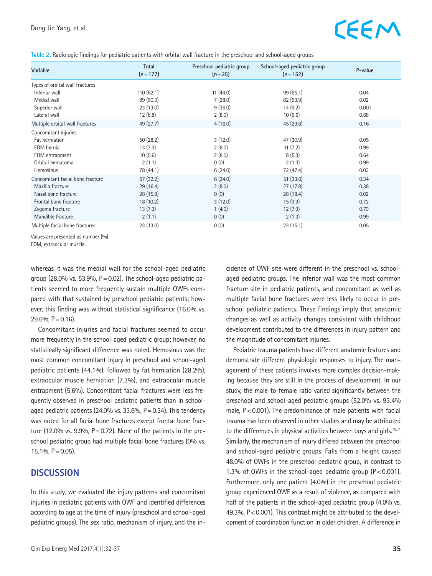# EEM

|  |  | Table 2. Radiologic findings for pediatric patients with orbital wall fracture in the preschool and school-aged groups |  |
|--|--|------------------------------------------------------------------------------------------------------------------------|--|
|--|--|------------------------------------------------------------------------------------------------------------------------|--|

| Variable                         | Total<br>$(n = 177)$ | Preschool pediatric group<br>$(n=25)$ | School-aged pediatric group<br>$(n = 152)$ | P-value |
|----------------------------------|----------------------|---------------------------------------|--------------------------------------------|---------|
| Types of orbital wall fractures  |                      |                                       |                                            |         |
| Inferior wall                    | 110(62.1)            | 11(44.0)                              | 99(65.1)                                   | 0.04    |
| Medial wall                      | 89 (50.3)            | 7(28.0)                               | 82 (53.9)                                  | 0.02    |
| Superior wall                    | 23(13.0)             | 9(36.0)                               | 14(9.2)                                    | 0.001   |
| Lateral wall                     | 12(6.8)              | 2(8.0)                                | 10(6.6)                                    | 0.68    |
| Multiple orbital wall fractures  | 49 (27.7)            | 4(16.0)                               | 45 (29.6)                                  | 0.16    |
| Concomitant injuries             |                      |                                       |                                            |         |
| Fat herniation                   | 50(28.2)             | 3(12.0)                               | 47 (30.9)                                  | 0.05    |
| EOM hernia                       | 13(7.3)              | 2(8.0)                                | 11(7.2)                                    | 0.99    |
| EOM entrapment                   | 10(5.6)              | 2(8.0)                                | 8(5.3)                                     | 0.64    |
| Orbital hematoma                 | 2(1.1)               | 0(0)                                  | 2(1.3)                                     | 0.99    |
| <b>Hemosinus</b>                 | 78 (44.1)            | 6(24.0)                               | 72 (47.4)                                  | 0.03    |
| Concomitant facial bone fracture | 57(32.2)             | 6(24.0)                               | 51(33.6)                                   | 0.34    |
| Maxilla fracture                 | 29(16.4)             | 2(8.0)                                | 27(17.8)                                   | 0.38    |
| Nasal bone fracture              | 28 (15.8)            | 0(0)                                  | 28 (18.4)                                  | 0.02    |
| Frontal bone fracture            | 18(10.2)             | 3(12.0)                               | 15(9.9)                                    | 0.72    |
| Zygoma fracture                  | 13(7.3)              | 1(4.0)                                | 12(7.9)                                    | 0.70    |
| Mandible fracture                | 2(1.1)               | 0(0)                                  | 2(1.3)                                     | 0.99    |
| Multiple facial bone fractures   | 23 (13.0)            | 0(0)                                  | 23(15.1)                                   | 0.05    |

Values are presented as number (%).

EOM, extraocular muscle.

whereas it was the medial wall for the school-aged pediatric group (28.0% vs. 53.9%,  $P = 0.02$ ). The school-aged pediatric patients seemed to more frequently sustain multiple OWFs compared with that sustained by preschool pediatric patients; however, this finding was without statistical significance (16.0% vs.  $29.6\%$ , P = 0.16).

Concomitant injuries and facial fractures seemed to occur more frequently in the school-aged pediatric group; however, no statistically significant difference was noted. Hemosinus was the most common concomitant injury in preschool and school-aged pediatric patients (44.1%), followed by fat herniation (28.2%), extraocular muscle herniation (7.3%), and extraocular muscle entrapment (5.6%). Concomitant facial fractures were less frequently observed in preschool pediatric patients than in schoolaged pediatric patients (24.0% vs.  $33.6\%$ , P = 0.34). This tendency was noted for all facial bone fractures except frontal bone fracture (12.0% vs. 9.9%,  $P = 0.72$ ). None of the patients in the preschool pediatric group had multiple facial bone fractures (0% vs.  $15.1\%$ ,  $P = 0.05$ ).

### **DISCUSSION**

In this study, we evaluated the injury patterns and concomitant injuries in pediatric patients with OWF and identified differences according to age at the time of injury (preschool and school-aged pediatric groups). The sex ratio, mechanism of injury, and the incidence of OWF site were different in the preschool vs. schoolaged pediatric groups. The inferior wall was the most common fracture site in pediatric patients, and concomitant as well as multiple facial bone fractures were less likely to occur in preschool pediatric patients. These findings imply that anatomic changes as well as activity changes consistent with childhood development contributed to the differences in injury pattern and the magnitude of concomitant injuries.

Pediatric trauma patients have different anatomic features and demonstrate different physiologic responses to injury. The management of these patients involves more complex decision-making because they are still in the process of development. In our study, the male-to-female ratio varied significantly between the preschool and school-aged pediatric groups (52.0% vs. 93.4% male,  $P < 0.001$ ). The predominance of male patients with facial trauma has been observed in other studies and may be attributed to the differences in physical activities between boys and girls.<sup>10,11</sup> Similarly, the mechanism of injury differed between the preschool and school-aged pediatric groups. Falls from a height caused 48.0% of OWFs in the preschool pediatric group, in contrast to 1.3% of OWFs in the school-aged pediatric group  $(P < 0.001)$ . Furthermore, only one patient (4.0%) in the preschool pediatric group experienced OWF as a result of violence, as compared with half of the patients in the school-aged pediatric group (4.0% vs. 49.3%, P<0.001). This contrast might be attributed to the development of coordination function in older children. A difference in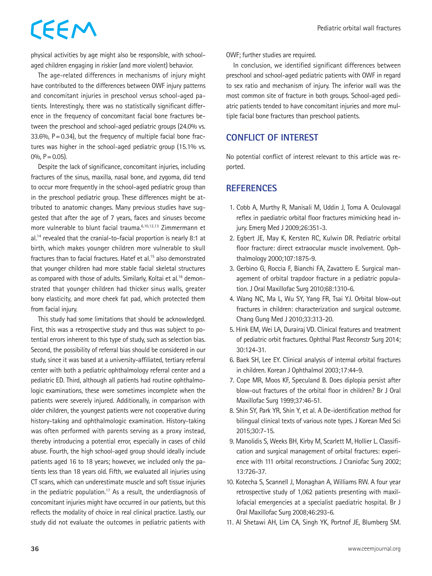# CEEM

physical activities by age might also be responsible, with schoolaged children engaging in riskier (and more violent) behavior.

The age-related differences in mechanisms of injury might have contributed to the differences between OWF injury patterns and concomitant injuries in preschool versus school-aged patients. Interestingly, there was no statistically significant difference in the frequency of concomitant facial bone fractures between the preschool and school-aged pediatric groups (24.0% vs. 33.6%,  $P = 0.34$ ), but the frequency of multiple facial bone fractures was higher in the school-aged pediatric group (15.1% vs. 0\%,  $P = 0.05$ ).

Despite the lack of significance, concomitant injuries, including fractures of the sinus, maxilla, nasal bone, and zygoma, did tend to occur more frequently in the school-aged pediatric group than in the preschool pediatric group. These differences might be attributed to anatomic changes. Many previous studies have suggested that after the age of 7 years, faces and sinuses become more vulnerable to blunt facial trauma.6,10,12,13 Zimmermann et al.14 revealed that the cranial-to-facial proportion is nearly 8:1 at birth, which makes younger children more vulnerable to skull fractures than to facial fractures. Hatef et al.<sup>15</sup> also demonstrated that younger children had more stable facial skeletal structures as compared with those of adults. Similarly, Koltai et al.<sup>16</sup> demonstrated that younger children had thicker sinus walls, greater bony elasticity, and more cheek fat pad, which protected them from facial injury.

This study had some limitations that should be acknowledged. First, this was a retrospective study and thus was subject to potential errors inherent to this type of study, such as selection bias. Second, the possibility of referral bias should be considered in our study, since it was based at a university-affiliated, tertiary referral center with both a pediatric ophthalmology referral center and a pediatric ED. Third, although all patients had routine ophthalmologic examinations, these were sometimes incomplete when the patients were severely injured. Additionally, in comparison with older children, the youngest patients were not cooperative during history-taking and ophthalmologic examination. History-taking was often performed with parents serving as a proxy instead, thereby introducing a potential error, especially in cases of child abuse. Fourth, the high school-aged group should ideally include patients aged 16 to 18 years; however, we included only the patients less than 18 years old. Fifth, we evaluated all injuries using CT scans, which can underestimate muscle and soft tissue injuries in the pediatric population.<sup>17</sup> As a result, the underdiagnosis of concomitant injuries might have occurred in our patients, but this reflects the modality of choice in real clinical practice. Lastly, our study did not evaluate the outcomes in pediatric patients with OWF; further studies are required.

In conclusion, we identified significant differences between preschool and school-aged pediatric patients with OWF in regard to sex ratio and mechanism of injury. The inferior wall was the most common site of fracture in both groups. School-aged pediatric patients tended to have concomitant injuries and more multiple facial bone fractures than preschool patients.

### **CONFLICT OF INTEREST**

No potential conflict of interest relevant to this article was reported.

## **REFERENCES**

- 1. Cobb A, Murthy R, Manisali M, Uddin J, Toma A. Oculovagal reflex in paediatric orbital floor fractures mimicking head injury. Emerg Med J 2009;26:351-3.
- 2. Egbert JE, May K, Kersten RC, Kulwin DR. Pediatric orbital floor fracture: direct extraocular muscle involvement. Ophthalmology 2000;107:1875-9.
- 3. Gerbino G, Roccia F, Bianchi FA, Zavattero E. Surgical management of orbital trapdoor fracture in a pediatric population. J Oral Maxillofac Surg 2010;68:1310-6.
- 4. Wang NC, Ma L, Wu SY, Yang FR, Tsai YJ. Orbital blow-out fractures in children: characterization and surgical outcome. Chang Gung Med J 2010;33:313-20.
- 5. Hink EM, Wei LA, Durairaj VD. Clinical features and treatment of pediatric orbit fractures. Ophthal Plast Reconstr Surg 2014; 30:124-31.
- 6. Baek SH, Lee EY. Clinical analysis of internal orbital fractures in children. Korean J Ophthalmol 2003;17:44-9.
- 7. Cope MR, Moos KF, Speculand B. Does diplopia persist after blow-out fractures of the orbital floor in children? Br J Oral Maxillofac Surg 1999;37:46-51.
- 8. Shin SY, Park YR, Shin Y, et al. A De-identification method for bilingual clinical texts of various note types. J Korean Med Sci 2015;30:7-15.
- 9. Manolidis S, Weeks BH, Kirby M, Scarlett M, Hollier L. Classification and surgical management of orbital fractures: experience with 111 orbital reconstructions. J Craniofac Surg 2002; 13:726-37.
- 10. Kotecha S, Scannell J, Monaghan A, Williams RW. A four year retrospective study of 1,062 patients presenting with maxillofacial emergencies at a specialist paediatric hospital. Br J Oral Maxillofac Surg 2008;46:293-6.
- 11. Al Shetawi AH, Lim CA, Singh YK, Portnof JE, Blumberg SM.